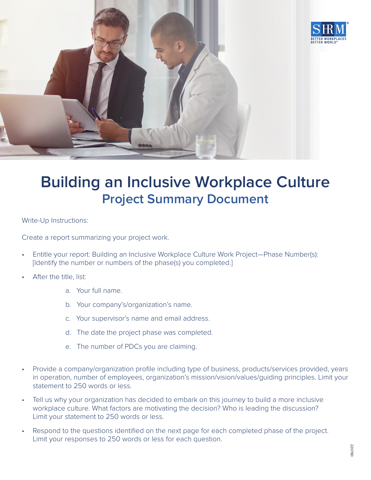

## **Building an Inclusive Workplace Culture Project Summary Document**

Write-Up Instructions:

Create a report summarizing your project work.

- Entitle your report: Building an Inclusive Workplace Culture Work Project—Phase Number(s): [Identify the number or numbers of the phase(s) you completed.]
- After the title, list:
	- a. Your full name.
	- b. Your company's/organization's name.
	- c. Your supervisor's name and email address.
	- d. The date the project phase was completed.
	- e. The number of PDCs you are claiming.
- Provide a company/organization profile including type of business, products/services provided, years in operation, number of employees, organization's mission/vision/values/guiding principles. Limit your statement to 250 words or less.
- Tell us why your organization has decided to embark on this journey to build a more inclusive workplace culture. What factors are motivating the decision? Who is leading the discussion? Limit your statement to 250 words or less.
- Respond to the questions identified on the next page for each completed phase of the project. Limit your responses to 250 words or less for each question.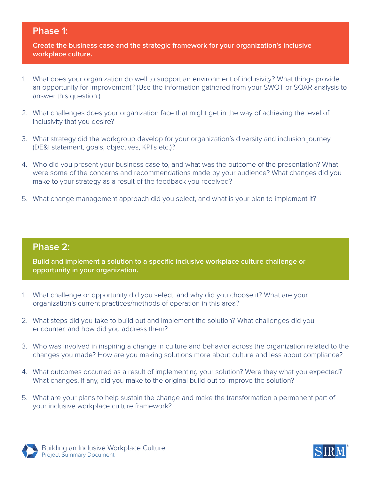## **Phase 1:**

**Create the business case and the strategic framework for your organization's inclusive workplace culture.**

- 1. What does your organization do well to support an environment of inclusivity? What things provide an opportunity for improvement? (Use the information gathered from your SWOT or SOAR analysis to answer this question.)
- 2. What challenges does your organization face that might get in the way of achieving the level of inclusivity that you desire?
- 3. What strategy did the workgroup develop for your organization's diversity and inclusion journey (DE&I statement, goals, objectives, KPI's etc.)?
- 4. Who did you present your business case to, and what was the outcome of the presentation? What were some of the concerns and recommendations made by your audience? What changes did you make to your strategy as a result of the feedback you received?
- 5. What change management approach did you select, and what is your plan to implement it?

## **Phase 2:**

**Build and implement a solution to a specific inclusive workplace culture challenge or opportunity in your organization.**

- 1. What challenge or opportunity did you select, and why did you choose it? What are your organization's current practices/methods of operation in this area?
- 2. What steps did you take to build out and implement the solution? What challenges did you encounter, and how did you address them?
- 3. Who was involved in inspiring a change in culture and behavior across the organization related to the changes you made? How are you making solutions more about culture and less about compliance?
- 4. What outcomes occurred as a result of implementing your solution? Were they what you expected? What changes, if any, did you make to the original build-out to improve the solution?
- 5. What are your plans to help sustain the change and make the transformation a permanent part of your inclusive workplace culture framework?